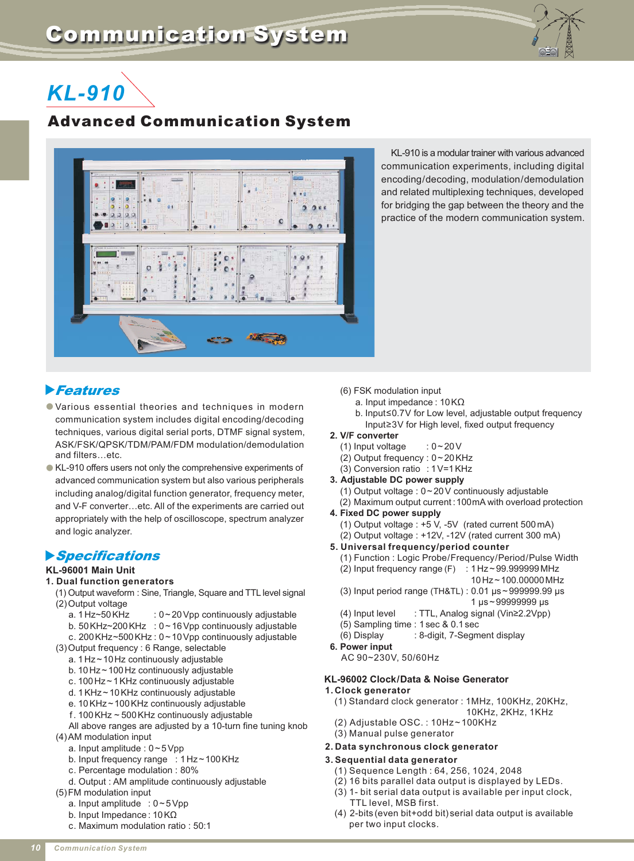

# *KL-910*

# Advanced Communication System



KL-910 is a modular trainer with various advanced communication experiments, including digital encoding/decoding, modulation/demodulation and related multiplexing techniques, developed for bridging the gap between the theory and the practice of the modern communication system.

# **Features**

- Various essential theories and techniques in modern communication system includes digital encoding/decoding techniques, various digital serial ports, DTMF signal system, ASK/FSK/QPSK/TDM/PAM/FDM modulation/demodulation and filters…etc.
- KL-910 offers users not only the comprehensive experiments of advanced communication system but also various peripherals including analog/digital function generator, frequency meter, and V-F converter…etc. All of the experiments are carried out appropriately with the help of oscilloscope, spectrum analyzer and logic analyzer.

# -Specifications

# **KL-96001 Main Unit**

#### **1. Dual function generators**

- (1) Output waveform : Sine, Triangle, Square and TTL level signal (2) Output voltage
	- a. 1 Hz~50 KHz : 0~20 Vpp continuously adjustable
	- b. 50 KHz~200 KHz : 0~16 Vpp continuously adjustable
	- c. 200 KHz~500 KHz : 0~10 Vpp continuously adjustable
- (3) Output frequency : 6 Range, selectable
	- a. 1 Hz ~ 10 Hz continuously adjustable
	- b. 10 Hz ~ 100 Hz continuously adjustable
	- c. 100 Hz ~ 1KHz continuously adjustable
	- d. 1KHz ~ 10KHz continuously adjustable
	- e. 10KHz ~ 100KHz continuously adjustable
	- . 100KHz ~ 500KHz continuously adjustable f
	- All above ranges are adjusted by a 10-turn fine tuning knob
- (4)AM modulation input
	- a. Input amplitude : 0 ~ 5Vpp
	- b. Input frequency range : 1 Hz ~ 100 KHz
	- c. Percentage modulation : 80%
	- d. Output : AM amplitude continuously adjustable
- (5) FM modulation input
	- a. Input amplitude : 0 ~ 5Vpp
	- b. Input Impedance : 10KΩ
	- c. Maximum modulation ratio : 50:1

# (6) FSK modulation input

- a. Input impedance : 10K Ω
- b. Input≤0.7V for Low level, adjustable output frequency Input≥3V for High level, fixed output frequency
- **2. V/F converter**
	- (1) Input voltage  $: 0 \sim 20 \text{ V}$
	- (2) Output frequency : 0 ~ 20KHz
	- (3) Conversion ratio : 1V=1KHz
- **3. Adjustable DC power supply**
	- (1) Output voltage : 0 ~ 20V continuously adjustable (2) Maximum output current :100mA with overload protection
- **4. Fixed DC power supply**
	- (1) Output voltage : +5 V, -5V (rated current 500mA)
	- (2) Output voltage : +12V, -12V (rated current 300 mA)
- **5. Universal frequency/period counter**
	- (1) Function : Logic Probe/Frequency/Period/Pulse Width
	- $(2)$  Input frequency range (F) : 1Hz ~ 99.999999 MHz
		- 10 Hz ~ 100.00000MHz
	- (3) Input period range (TH&TL) : 0.01  $\mu$ s ~ 999999.99  $\mu$ s 1 μs ~ 99999999 μs
	- (4) Input level : TTL, Analog signal (Vin≥2.2Vpp)
	- (5) Sampling time : 1 sec & 0.1 sec
	- (6) Display : 8-digit, 7-Segment display
- **6. Power input**
	- AC 90~230V, 50/60Hz

# **KL-96002 Clock/Data & Noise Generator**

- **1.Clock generator**
	- (1) Standard clock generator : 1MHz, 100KHz, 20KHz,
	- 10KHz, 2KHz, 1KHz
	- (2) Adjustable OSC. : 10Hz~100KHz (3) Manual pulse generator

# **2. Data synchronous clock generator**

# **3. Sequential data generator**

- (1) Sequence Length : 64, 256, 1024, 2048
- (2) 16 bits parallel data output is displayed by LEDs.
- (3) 1- bit serial data output is available per input clock, TTL level, MSB first.
- (4) 2-bits (even bit+odd bit) serial data output is available per two input clocks.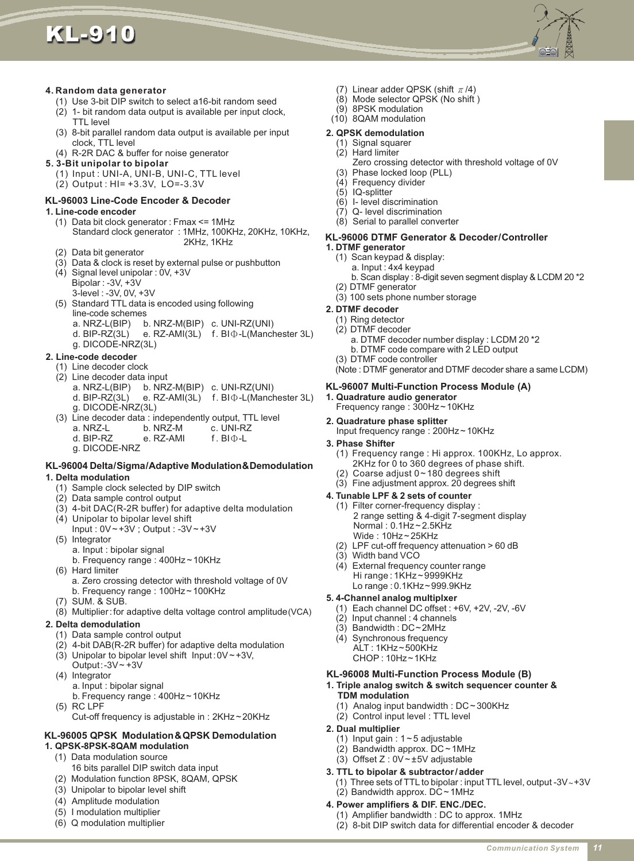



# **4. Random data generator**

- (1) Use 3-bit DIP switch to select a16-bit random seed
- (2) 1- bit random data output is available per input clock, TTL level
- (3) 8-bit parallel random data output is available per input clock, TTL level
- (4) R-2R DAC & buffer for noise generator

# **5. 3-Bit unipolar to bipolar**

- (1) Input : UNI-A, UNI-B, UNI-C, TTL level
- (2) Output : HI= +3.3V, LO=-3.3V

# **KL-96003 Line-Code Encoder & Decoder**

#### **1. Line-code encoder**

- (1) Data bit clock generator : Fmax <= 1MHz Standard clock generator : 1MHz, 100KHz, 20KHz, 10KHz, 2KHz, 1KHz
- (2) Data bit generator
- (3) Data & clock is reset by external pulse or pushbutton
- (4) Signal level unipolar : 0V, +3V Bipolar : -3V, +3V
	- 3-level : -3V, 0V, +3V
- (5) Standard TTL data is encoded using following line-code schemes
	- a. NRZ-L(BIP) b. NRZ-M(BIP) c. UNI-RZ(UNI)
	- d. BIP-RZ(3L) e. RZ-AMI(3L) f. BI  $\Phi$ -L(Manchester 3L) g. DICODE-NRZ(3L)

#### **2. Line-code decoder**

- (1) Line decoder clock
- (2) Line decoder data input
	- b. NRZ-M(BIP) c. UNI-RZ(UNI)
	- d. BIP-RZ(3L) e. RZ-AMI(3L) f. BI  $\Phi$ -L(Manchester 3L) g. DICODE-NRZ(3L)
- (3) Line decoder data : independently output, TTL level
	- a.  $NRZ-L$  b.  $NRZ-M$
	- d. BIP-RZ e. RZ-AMI f. BIΦ-L
	- g. DICODE-NRZ

# **KL-96004 Delta/Sigma/Adaptive Modulation&Demodulation**

#### **1. Delta modulation**

- (1) Sample clock selected by DIP switch
- (2) Data sample control output
- (3) 4-bit DAC(R-2R buffer) for adaptive delta modulation
- (4) Unipolar to bipolar level shift Input : 0V ~ +3V ; Output : -3V ~ +3V
- (5) Integrator a. Input : bipolar signal
	- b. Frequency range : 400Hz ~ 10KHz
- (6) Hard limiter
	- a. Zero crossing detector with threshold voltage of 0V b. Frequency range : 100Hz ~ 100KHz
- (7) SUM. & SUB.
- (8) Multiplier:for adaptive delta voltage control amplitude (VCA)

# **2. Delta demodulation**

- (1) Data sample control output
- (2) 4-bit DAB(R-2R buffer) for adaptive delta modulation
- (3) Unipolar to bipolar level shift  $Input: 0V \sim +3V$ ,
- Output: $-3V +3V$ (4) Integrator
	- a. Input : bipolar signal
	- b. Frequency range : 400Hz ~ 10KHz
- (5) RC LPF
	- Cut-off frequency is adjustable in : 2KHz ~ 20KHz

#### **KL-96005 QPSK Modulation&QPSK Demodulation 1. QPSK-8PSK-8QAM modulation**

- (1) Data modulation source
- 16 bits parallel DIP switch data input
- (2) Modulation function 8PSK, 8QAM, QPSK
- (3) Unipolar to bipolar level shift
- (4) Amplitude modulation
- (5) I modulation multiplier
- (6) Q modulation multiplier
- (7) Linear adder QPSK (shift  $\pi /4$ )
- (8) Mode selector QPSK (No shift )
- (9) 8PSK modulation
- (10) 8QAM modulation

#### **2. QPSK demodulation**

- (1) Signal squarer
- Zero crossing detector with threshold voltage of 0V (2) Hard limiter
- (3) Phase locked loop (PLL) (4) Frequency divider
- (5) IQ-splitter
- (6) I- level discrimination
- (7) Q- level discrimination
- (8) Serial to parallel converter

# **KL-96006 DTMF Generator & Decoder/Controller**

- **1. DTMF generator**
	- (1) Scan keypad & display:
		- a. Input : 4x4 keypad
	- b. Scan display : 8-digit seven segment display & LCDM 20 \*2 (2) DTMF generator
	- (3) 100 sets phone number storage

# **2. DTMF decoder**

- (1) Ring detector
- (2) DTMF decoder
	- a. DTMF decoder number display : LCDM 20 \*2
	- b. DTMF code compare with 2 LED output

# (3) DTMF code controller

(Note : DTMF generator and DTMF decoder share a same LCDM)

#### **KL-96007 Multi-Function Process Module (A)**

- **1. Quadrature audio generator** Frequency range : 300Hz ~ 10KHz
- **2. Quadrature phase splitter**
	- Input frequency range : 200Hz ~ 10KHz
- **3. Phase Shifter**
	- (1) Frequency range : Hi approx. 100KHz, Lo approx. 2KHz for 0 to 360 degrees of phase shift.
	- (2) Coarse adjust 0~180 degrees shift
	- (3) Fine adjustment approx. 20 degrees shift

#### **4. Tunable LPF & 2 sets of counter**

- (1) Filter corner-frequency display : 2 range setting & 4-digit 7-segment display Normal : 0.1Hz ~ 2.5KHz Wide : 10Hz ~ 25KHz
- (2) LPF cut-off frequency attenuation > 60 dB
- (3) Width band VCO

**2. Dual multiplier**

**TDM modulation**

- (4) External frequency counter range Hi range : 1KHz~ 9999KHz
	- Lo range : 0.1KHz~999.9KHz

#### **5. 4-Channel analog multiplxer**

(1) Each channel DC offset : +6V, +2V, -2V, -6V

**1. Triple analog switch & switch sequencer counter &**

(1) Three sets of TTL to bipolar : input TTL level, output -3V ~ +3V

(2) 8-bit DIP switch data for differential encoder & decoder

(1) Analog input bandwidth : DC ~ 300KHz

**KL-96008 Multi-Function Process Module (B)**

*Communication System 11*

 $(2)$  Input channel : 4 channels (3) Bandwidth : DC~2MHz

**3. TTL to bipolar & subtractor/adder**

(2) Control input level : TTL level

(1) Input gain :  $1 - 5$  adjustable (2) Bandwidth approx. DC ~ 1MHz (3) Offset Z : 0V ~ ±5V adjustable

**4. Power amplifiers & DIF. ENC./DEC.**

(1) Amplifier bandwidth : DC to approx. 1MHz

(2) Bandwidth approx. DC ~ 1MHz

(4) Synchronous frequency ALT : 1KHz~500KHz CHOP : 10Hz~1KHz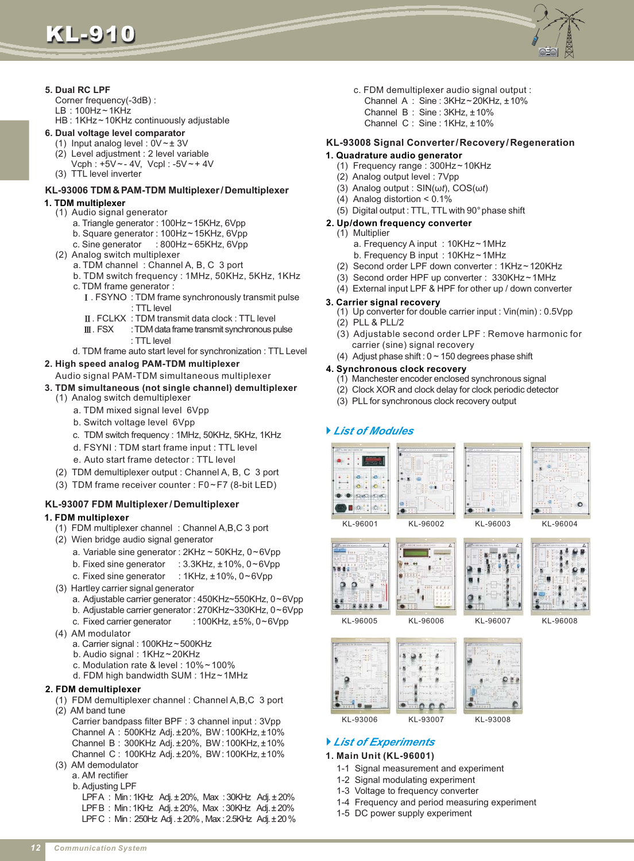KL-910



# **5. Dual RC LPF**

Corner frequency(-3dB) :  $LB:100Hz - 1KHz$ 

HB : 1KHz ~ 10KHz continuously adjustable

- **6. Dual voltage level comparator**
	- (1) Input analog level :  $0V \pm 3V$
	- (2) Level adjustment : 2 level variable Vcph : +5V ~ - 4V, Vcpl : -5V ~ + 4V
	- (3) TTL level inverter

# **KL-93006 TDM & PAM-TDM Multiplexer/Demultiplexer**

# **1. TDM multiplexer**

- (1) Audio signal generator
	- a. Triangle generator : 100Hz~15KHz, 6Vpp
	- b. Square generator : 100Hz~15KHz, 6Vpp
	- c. Sine generator :  $800$ Hz ~ 65KHz, 6Vpp
- (2) Analog switch multiplexer
	- a. TDM channel : Channel A, B, C 3 port
	- b. TDM switch frequency : 1MHz, 50KHz, 5KHz, 1KHz c. TDM frame generator :
	- . FSYNO : TDM frame synchronously transmit pulse Ⅰ : TTL level
		- . FCLKX : TDM transmit data clock : TTL level Ⅱ
	- : TDM data frame transmit synchronous pulse : TTL level Ⅲ
	- d. TDM frame auto start level for synchronization : TTL Level

# **2. High speed analog PAM-TDM multiplexer**

Audio signal PAM-TDM simultaneous multiplexer

# **3. TDM simultaneous (not single channel) demultiplexer**

- (1) Analog switch demultiplexer
	- a. TDM mixed signal level 6Vpp
	- b. Switch voltage level 6Vpp
	- c. TDM switch frequency : 1MHz, 50KHz, 5KHz, 1KHz
	- d. FSYNI : TDM start frame input : TTL level
	- e. Auto start frame detector : TTL level
- (2) TDM demultiplexer output : Channel A, B, C 3 port
- (3) TDM frame receiver counter : F0~F7 (8-bit LED)

# **KL-93007 FDM Multiplexer / Demultiplexer**

# **1. FDM multiplexer**

- (1) FDM multiplexer channel : Channel A,B,C 3 port
- (2) Wien bridge audio signal generator
	- a. Variable sine generator : 2KHz ~ 50KHz, 0~6Vpp
	- b. Fixed sine generator : 3.3KHz, ±10%, 0~6Vpp
	- c. Fixed sine generator : 1KHz, ±10%, 0~6Vpp
- (3) Hartley carrier signal generator
	- a. Adjustable carrier generator : 450KHz~550KHz, 0~6Vpp
	- b. Adjustable carrier generator : 270KHz~330KHz, 0~6Vpp
	- c. Fixed carrier generator : 100KHz, ±5%, 0~6Vpp
- (4) AM modulator
	- a. Carrier signal : 100KHz~500KHz
	- b. Audio signal : 1KHz ~ 20KHz
	- c. Modulation rate & level : 10% ~ 100% d. FDM high bandwidth SUM : 1Hz ~ 1MHz
	-

# **2. FDM demultiplexer**

- (1) FDM demultiplexer channel : Channel A,B,C 3 port (2) AM band tune
	- Carrier bandpass filter BPF : 3 channel input : 3Vpp Channel A: 500KHz Adj. ±20%, BW: 100KHz, ±10% Channel B: 300KHz Adj. ±20%, BW: 100KHz, ±10% Channel C: 100KHz Adj. ±20%, BW: 100KHz, ±10%
- (3) AM demodulator
	- a. AM rectifier
	- b. Adjusting LPF

LPFA : Min : 1KHz Adj. ± 20%, Max : 30KHz Adj. ± 20% LPF B: Min: 1KHz Adj. ± 20%, Max: 30KHz Adj. ± 20% LPF C : Min : 250Hz Adj .±20% , Max : 2.5KHz Adj.±20 %

- c. FDM demultiplexer audio signal output :
	- Channel A : Sine :  $3KHz \sim 20KHz$ ,  $\pm 10\%$
	- Channel  $B :$  Sine :  $3KHz, \pm 10\%$
	- Channel C: Sine: 1KHz, ±10%

# **KL-93008 Signal Converter/Recovery/Regeneration**

# **1. Quadrature audio generator**

- (1) Frequency range : 300Hz ~ 10KHz
- (2) Analog output level : 7Vpp
- (3) Analog output :  $\text{SIN}(\omega t)$ , COS( $\omega t$ )
- (4) Analog distortion < 0.1%
- (5) Digital output : TTL, TTL with 90° phase shift
- **2. Up/down frequency converter**
	- (1) Multiplier
		- a. Frequency A input : 10KHz ~ 1MHz
		- b. Frequency B input : 10KHz ~ 1MHz
	- (2) Second order LPF down converter : 1KHz ~ 120KHz
	- (3) Second order HPF up converter : 330KHz~1MHz
	- (4) External input LPF & HPF for other up / down converter

# **3. Carrier signal recovery**

- (1) Up converter for double carrier input : Vin(min) : 0.5Vpp (2) PLL & PLL/2
- (3) Adjustable second order LPF : Remove harmonic for carrier (sine) signal recovery
- (4) Adjust phase shift :  $0 \sim 150$  degrees phase shift

# **4. Synchronous clock recovery**

- (1) Manchester encoder enclosed synchronous signal
- (2) Clock XOR and clock delay for clock periodic detector
- (3) PLL for synchronous clock recovery output

# *List of Modules*









KL-96005 KL-96006 KL-96007 KL-96008



# *List of Experiments*

# **1. Main Unit (KL-96001)**

- 1-1 Signal measurement and experiment
- 1-2 Signal modulating experiment
- 1-3 Voltage to frequency converter
- 1-4 Frequency and period measuring experiment
- 1-5 DC power supply experiment